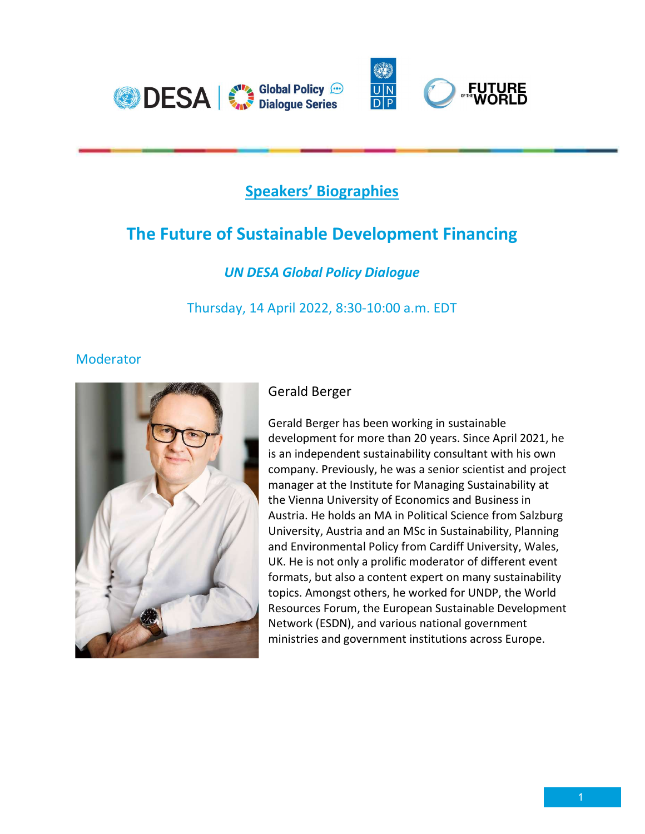

## Speakers' Biographies

# The Future of Sustainable Development Financing

## UN DESA Global Policy Dialogue

Thursday, 14 April 2022, 8:30-10:00 a.m. EDT

#### **Moderator**



### Gerald Berger

Gerald Berger has been working in sustainable development for more than 20 years. Since April 2021, he is an independent sustainability consultant with his own company. Previously, he was a senior scientist and project manager at the Institute for Managing Sustainability at the Vienna University of Economics and Business in Austria. He holds an MA in Political Science from Salzburg University, Austria and an MSc in Sustainability, Planning and Environmental Policy from Cardiff University, Wales, UK. He is not only a prolific moderator of different event formats, but also a content expert on many sustainability topics. Amongst others, he worked for UNDP, the World Resources Forum, the European Sustainable Development Network (ESDN), and various national government ministries and government institutions across Europe.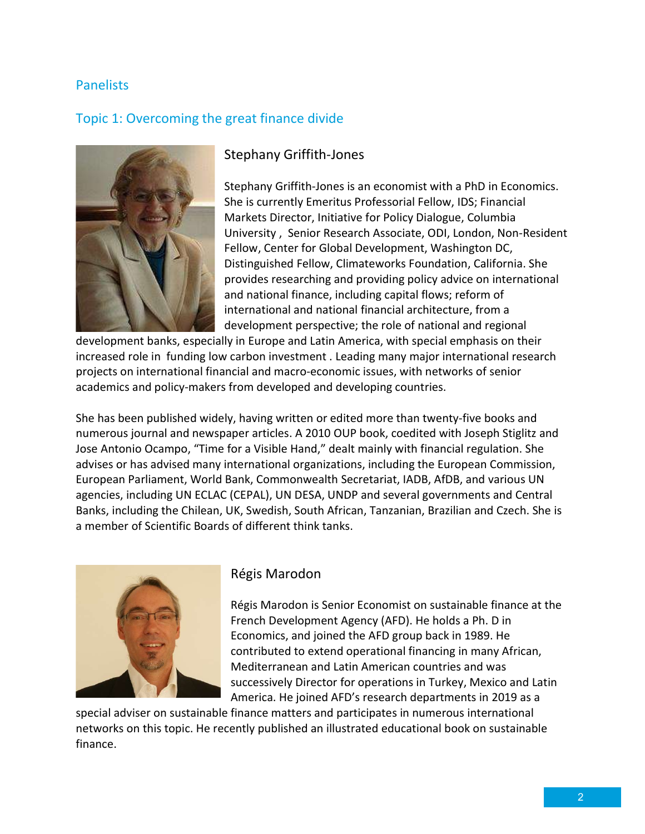#### **Panelists**

#### Topic 1: Overcoming the great finance divide



#### Stephany Griffith-Jones

Stephany Griffith-Jones is an economist with a PhD in Economics. She is currently Emeritus Professorial Fellow, IDS; Financial Markets Director, Initiative for Policy Dialogue, Columbia University , Senior Research Associate, ODI, London, Non-Resident Fellow, Center for Global Development, Washington DC, Distinguished Fellow, Climateworks Foundation, California. She provides researching and providing policy advice on international and national finance, including capital flows; reform of international and national financial architecture, from a development perspective; the role of national and regional

development banks, especially in Europe and Latin America, with special emphasis on their increased role in funding low carbon investment . Leading many major international research projects on international financial and macro-economic issues, with networks of senior academics and policy-makers from developed and developing countries.

She has been published widely, having written or edited more than twenty-five books and numerous journal and newspaper articles. A 2010 OUP book, coedited with Joseph Stiglitz and Jose Antonio Ocampo, "Time for a Visible Hand," dealt mainly with financial regulation. She advises or has advised many international organizations, including the European Commission, European Parliament, World Bank, Commonwealth Secretariat, IADB, AfDB, and various UN agencies, including UN ECLAC (CEPAL), UN DESA, UNDP and several governments and Central Banks, including the Chilean, UK, Swedish, South African, Tanzanian, Brazilian and Czech. She is a member of Scientific Boards of different think tanks.



#### Régis Marodon

Régis Marodon is Senior Economist on sustainable finance at the French Development Agency (AFD). He holds a Ph. D in Economics, and joined the AFD group back in 1989. He contributed to extend operational financing in many African, Mediterranean and Latin American countries and was successively Director for operations in Turkey, Mexico and Latin America. He joined AFD's research departments in 2019 as a

special adviser on sustainable finance matters and participates in numerous international networks on this topic. He recently published an illustrated educational book on sustainable finance.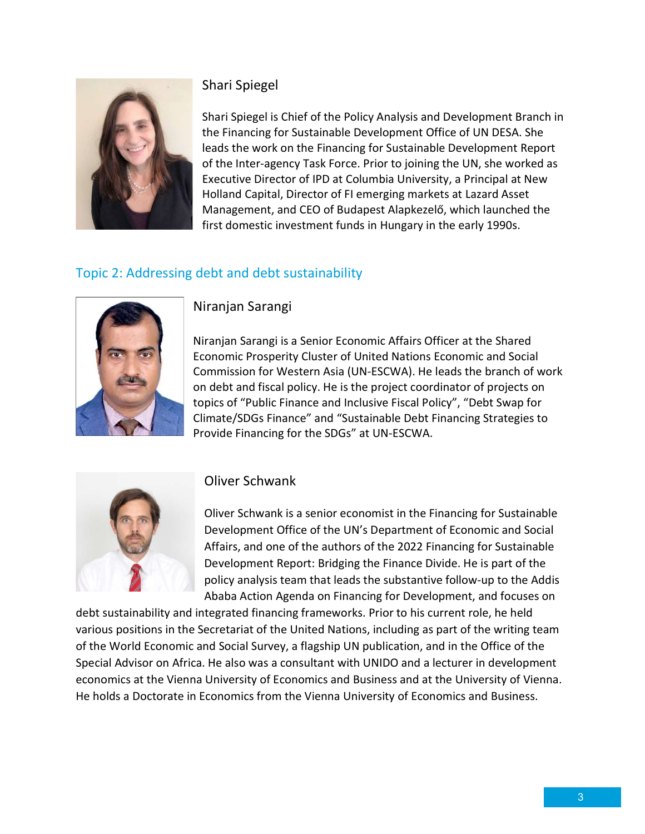

#### Shari Spiegel

Shari Spiegel is Chief of the Policy Analysis and Development Branch in the Financing for Sustainable Development Office of UN DESA. She leads the work on the Financing for Sustainable Development Report of the Inter-agency Task Force. Prior to joining the UN, she worked as Executive Director of IPD at Columbia University, a Principal at New Holland Capital, Director of FI emerging markets at Lazard Asset Management, and CEO of Budapest Alapkezelő, which launched the first domestic investment funds in Hungary in the early 1990s.

## Topic 2: Addressing debt and debt sustainability



Niranjan Sarangi

Niranjan Sarangi is a Senior Economic Affairs Officer at the Shared Economic Prosperity Cluster of United Nations Economic and Social Commission for Western Asia (UN-ESCWA). He leads the branch of work on debt and fiscal policy. He is the project coordinator of projects on topics of "Public Finance and Inclusive Fiscal Policy", "Debt Swap for Climate/SDGs Finance" and "Sustainable Debt Financing Strategies to Provide Financing for the SDGs" at UN-ESCWA.



#### Oliver Schwank

Oliver Schwank is a senior economist in the Financing for Sustainable Development Office of the UN's Department of Economic and Social Affairs, and one of the authors of the 2022 Financing for Sustainable Development Report: Bridging the Finance Divide. He is part of the policy analysis team that leads the substantive follow-up to the Addis Ababa Action Agenda on Financing for Development, and focuses on

debt sustainability and integrated financing frameworks. Prior to his current role, he held various positions in the Secretariat of the United Nations, including as part of the writing team of the World Economic and Social Survey, a flagship UN publication, and in the Office of the Special Advisor on Africa. He also was a consultant with UNIDO and a lecturer in development economics at the Vienna University of Economics and Business and at the University of Vienna. He holds a Doctorate in Economics from the Vienna University of Economics and Business.